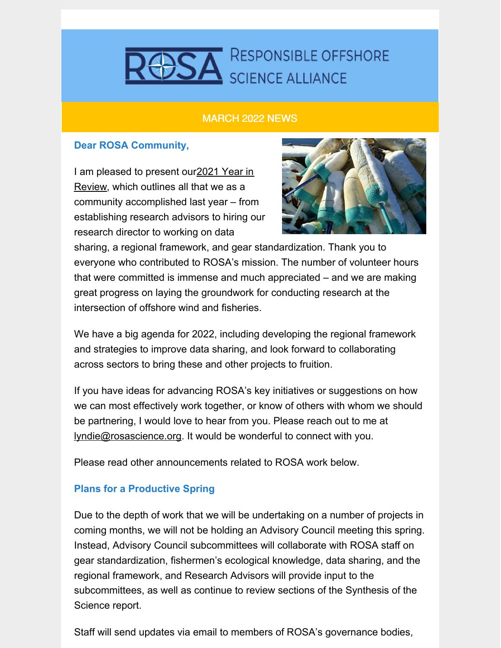# **DSA** RESPONSIBLE OFFSHORE

#### MARCH 2022 NEWS

### **Dear ROSA Community,**

I am pleased to present [our2021](https://e9f0eb5f-7fec-4e41-9395-960128956e6f.filesusr.com/ugd/99421e_de0ddf5500ac45acb506ae4e6bd899b3.pdf) Year in Review, which outlines all that we as a community accomplished last year – from establishing research advisors to hiring our research director to working on data



sharing, a regional framework, and gear standardization. Thank you to everyone who contributed to ROSA's mission. The number of volunteer hours that were committed is immense and much appreciated – and we are making great progress on laying the groundwork for conducting research at the intersection of offshore wind and fisheries.

We have a big agenda for 2022, including developing the regional framework and strategies to improve data sharing, and look forward to collaborating across sectors to bring these and other projects to fruition.

If you have ideas for advancing ROSA's key initiatives or suggestions on how we can most effectively work together, or know of others with whom we should be partnering, I would love to hear from you. Please reach out to me at [lyndie@rosascience.org](mailto:lyndie@rosascience.org). It would be wonderful to connect with you.

Please read other announcements related to ROSA work below.

### **Plans for a Productive Spring**

Due to the depth of work that we will be undertaking on a number of projects in coming months, we will not be holding an Advisory Council meeting this spring. Instead, Advisory Council subcommittees will collaborate with ROSA staff on gear standardization, fishermen's ecological knowledge, data sharing, and the regional framework, and Research Advisors will provide input to the subcommittees, as well as continue to review sections of the Synthesis of the Science report.

Staff will send updates via email to members of ROSA's governance bodies,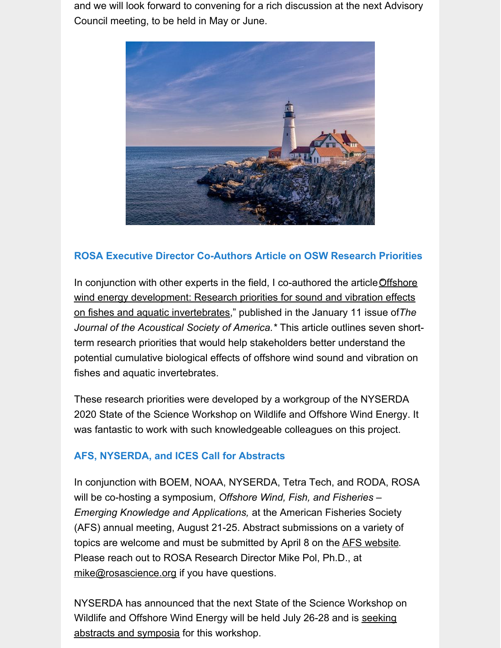and we will look forward to convening for a rich discussion at the next Advisory Council meeting, to be held in May or June.



## **ROSA Executive Director Co-Authors Article on OSW Research Priorities**

In conjunction with other experts in the field, I co-authored the article Offshore wind energy development: Research priorities for sound and vibration effects on fishes and aquatic [invertebrates,"](https://asa.scitation.org/doi/10.1121/10.0009237) published in the January 11 issue of*The Journal of the Acoustical Society of America.\** This article outlines seven shortterm research priorities that would help stakeholders better understand the potential cumulative biological effects of offshore wind sound and vibration on fishes and aquatic invertebrates.

These research priorities were developed by a workgroup of the NYSERDA 2020 State of the Science Workshop on Wildlife and Offshore Wind Energy. It was fantastic to work with such knowledgeable colleagues on this project.

### **AFS, NYSERDA, and ICES Call for Abstracts**

In conjunction with BOEM, NOAA, NYSERDA, Tetra Tech, and RODA, ROSA will be co-hosting a symposium, *Offshore Wind, Fish, and Fisheries – Emerging Knowledge and Applications,* at the American Fisheries Society (AFS) annual meeting, August 21-25. Abstract submissions on a variety of topics are welcome and must be submitted by April 8 on the AFS [website](https://afsannualmeeting.fisheries.org/). Please reach out to ROSA Research Director Mike Pol, Ph.D., at [mike@rosascience.org](mailto:mike@rosascience.org) if you have questions.

NYSERDA has announced that the next State of the Science Workshop on Wildlife and Offshore Wind Energy will be held July 26-28 and is seeking abstracts and symposia for this [workshop.](https://www.nyetwg.com/2022-workshop)